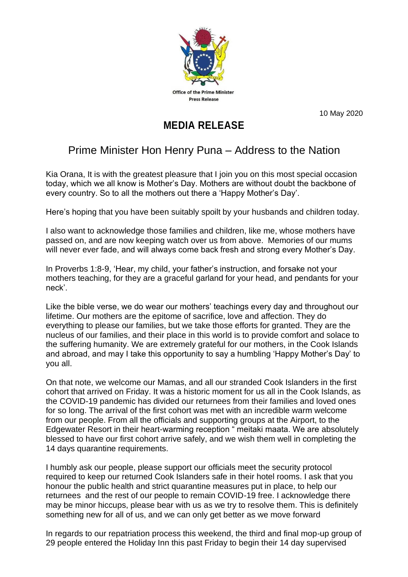

10 May 2020

## **MEDIA RELEASE**

## Prime Minister Hon Henry Puna – Address to the Nation

Kia Orana, It is with the greatest pleasure that I join you on this most special occasion today, which we all know is Mother's Day. Mothers are without doubt the backbone of every country. So to all the mothers out there a 'Happy Mother's Day'.

Here's hoping that you have been suitably spoilt by your husbands and children today.

I also want to acknowledge those families and children, like me, whose mothers have passed on, and are now keeping watch over us from above. Memories of our mums will never ever fade, and will always come back fresh and strong every Mother's Day.

In Proverbs 1:8-9, 'Hear, my child, your father's instruction, and forsake not your mothers teaching, for they are a graceful garland for your head, and pendants for your neck'.

Like the bible verse, we do wear our mothers' teachings every day and throughout our lifetime. Our mothers are the epitome of sacrifice, love and affection. They do everything to please our families, but we take those efforts for granted. They are the nucleus of our families, and their place in this world is to provide comfort and solace to the suffering humanity. We are extremely grateful for our mothers, in the Cook Islands and abroad, and may I take this opportunity to say a humbling 'Happy Mother's Day' to you all.

On that note, we welcome our Mamas, and all our stranded Cook Islanders in the first cohort that arrived on Friday. It was a historic moment for us all in the Cook Islands, as the COVID-19 pandemic has divided our returnees from their families and loved ones for so long. The arrival of the first cohort was met with an incredible warm welcome from our people. From all the officials and supporting groups at the Airport, to the Edgewater Resort in their heart-warming reception " meitaki maata. We are absolutely blessed to have our first cohort arrive safely, and we wish them well in completing the 14 days quarantine requirements.

I humbly ask our people, please support our officials meet the security protocol required to keep our returned Cook Islanders safe in their hotel rooms. I ask that you honour the public health and strict quarantine measures put in place, to help our returnees and the rest of our people to remain COVID-19 free. I acknowledge there may be minor hiccups, please bear with us as we try to resolve them. This is definitely something new for all of us, and we can only get better as we move forward

In regards to our repatriation process this weekend, the third and final mop-up group of 29 people entered the Holiday Inn this past Friday to begin their 14 day supervised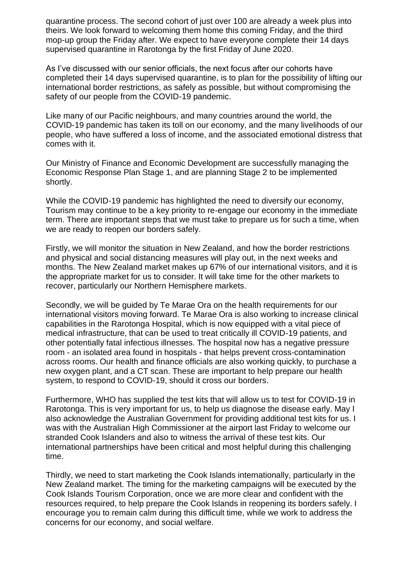quarantine process. The second cohort of just over 100 are already a week plus into theirs. We look forward to welcoming them home this coming Friday, and the third mop-up group the Friday after. We expect to have everyone complete their 14 days supervised quarantine in Rarotonga by the first Friday of June 2020.

As I've discussed with our senior officials, the next focus after our cohorts have completed their 14 days supervised quarantine, is to plan for the possibility of lifting our international border restrictions, as safely as possible, but without compromising the safety of our people from the COVID-19 pandemic.

Like many of our Pacific neighbours, and many countries around the world, the COVID-19 pandemic has taken its toll on our economy, and the many livelihoods of our people, who have suffered a loss of income, and the associated emotional distress that comes with it.

Our Ministry of Finance and Economic Development are successfully managing the Economic Response Plan Stage 1, and are planning Stage 2 to be implemented shortly.

While the COVID-19 pandemic has highlighted the need to diversify our economy, Tourism may continue to be a key priority to re-engage our economy in the immediate term. There are important steps that we must take to prepare us for such a time, when we are ready to reopen our borders safely.

Firstly, we will monitor the situation in New Zealand, and how the border restrictions and physical and social distancing measures will play out, in the next weeks and months. The New Zealand market makes up 67% of our international visitors, and it is the appropriate market for us to consider. It will take time for the other markets to recover, particularly our Northern Hemisphere markets.

Secondly, we will be guided by Te Marae Ora on the health requirements for our international visitors moving forward. Te Marae Ora is also working to increase clinical capabilities in the Rarotonga Hospital, which is now equipped with a vital piece of medical infrastructure, that can be used to treat critically ill COVID-19 patients, and other potentially fatal infectious illnesses. The hospital now has a negative pressure room - an isolated area found in hospitals - that helps prevent cross-contamination across rooms. Our health and finance officials are also working quickly, to purchase a new oxygen plant, and a CT scan. These are important to help prepare our health system, to respond to COVID-19, should it cross our borders.

Furthermore, WHO has supplied the test kits that will allow us to test for COVID-19 in Rarotonga. This is very important for us, to help us diagnose the disease early. May I also acknowledge the Australian Government for providing additional test kits for us. I was with the Australian High Commissioner at the airport last Friday to welcome our stranded Cook Islanders and also to witness the arrival of these test kits. Our international partnerships have been critical and most helpful during this challenging time.

Thirdly, we need to start marketing the Cook Islands internationally, particularly in the New Zealand market. The timing for the marketing campaigns will be executed by the Cook Islands Tourism Corporation, once we are more clear and confident with the resources required, to help prepare the Cook Islands in reopening its borders safely. I encourage you to remain calm during this difficult time, while we work to address the concerns for our economy, and social welfare.